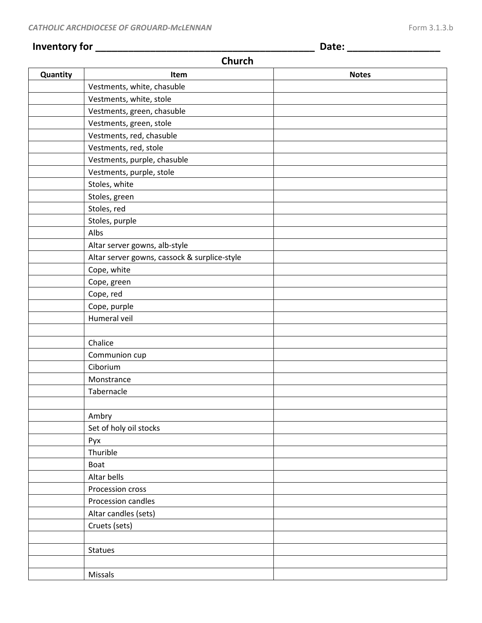## **Inventory for \_\_\_\_\_\_\_\_\_\_\_\_\_\_\_\_\_\_\_\_\_\_\_\_\_\_\_\_\_\_\_\_\_\_\_\_\_\_\_\_ Date: \_\_\_\_\_\_\_\_\_\_\_\_\_\_\_\_\_**

## **Church**

| Quantity | Item                                         | <b>Notes</b> |
|----------|----------------------------------------------|--------------|
|          | Vestments, white, chasuble                   |              |
|          | Vestments, white, stole                      |              |
|          | Vestments, green, chasuble                   |              |
|          | Vestments, green, stole                      |              |
|          | Vestments, red, chasuble                     |              |
|          | Vestments, red, stole                        |              |
|          | Vestments, purple, chasuble                  |              |
|          | Vestments, purple, stole                     |              |
|          | Stoles, white                                |              |
|          | Stoles, green                                |              |
|          | Stoles, red                                  |              |
|          | Stoles, purple                               |              |
|          | Albs                                         |              |
|          | Altar server gowns, alb-style                |              |
|          | Altar server gowns, cassock & surplice-style |              |
|          | Cope, white                                  |              |
|          | Cope, green                                  |              |
|          | Cope, red                                    |              |
|          | Cope, purple                                 |              |
|          | Humeral veil                                 |              |
|          |                                              |              |
|          | Chalice                                      |              |
|          | Communion cup                                |              |
|          | Ciborium                                     |              |
|          | Monstrance                                   |              |
|          | Tabernacle                                   |              |
|          |                                              |              |
|          | Ambry                                        |              |
|          | Set of holy oil stocks                       |              |
|          | Pyx                                          |              |
|          | Thurible                                     |              |
|          | <b>Boat</b>                                  |              |
|          | Altar bells                                  |              |
|          | Procession cross                             |              |
|          | Procession candles                           |              |
|          | Altar candles (sets)                         |              |
|          | Cruets (sets)                                |              |
|          |                                              |              |
|          | Statues                                      |              |
|          |                                              |              |
|          | Missals                                      |              |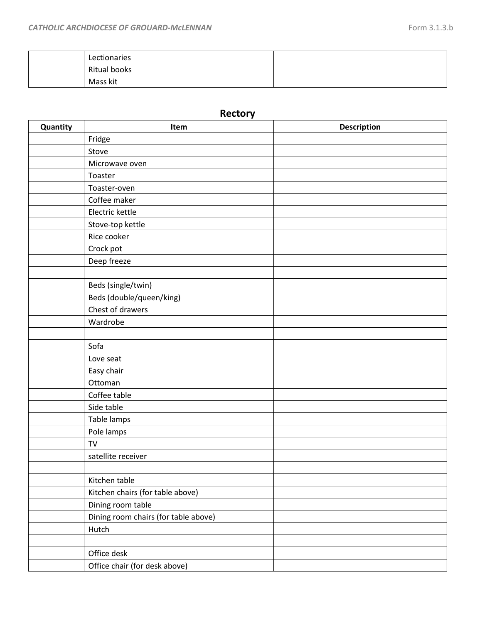| Lectionaries |  |
|--------------|--|
| Ritual books |  |
| Mass kit     |  |

## **Rectory**

| Quantity | Item                                 | <b>Description</b> |
|----------|--------------------------------------|--------------------|
|          | Fridge                               |                    |
|          | Stove                                |                    |
|          | Microwave oven                       |                    |
|          | Toaster                              |                    |
|          | Toaster-oven                         |                    |
|          | Coffee maker                         |                    |
|          | Electric kettle                      |                    |
|          | Stove-top kettle                     |                    |
|          | Rice cooker                          |                    |
|          | Crock pot                            |                    |
|          | Deep freeze                          |                    |
|          |                                      |                    |
|          | Beds (single/twin)                   |                    |
|          | Beds (double/queen/king)             |                    |
|          | Chest of drawers                     |                    |
|          | Wardrobe                             |                    |
|          |                                      |                    |
|          | Sofa                                 |                    |
|          | Love seat                            |                    |
|          | Easy chair                           |                    |
|          | Ottoman                              |                    |
|          | Coffee table                         |                    |
|          | Side table                           |                    |
|          | Table lamps                          |                    |
|          | Pole lamps                           |                    |
|          | <b>TV</b>                            |                    |
|          | satellite receiver                   |                    |
|          |                                      |                    |
|          | Kitchen table                        |                    |
|          | Kitchen chairs (for table above)     |                    |
|          | Dining room table                    |                    |
|          | Dining room chairs (for table above) |                    |
|          | Hutch                                |                    |
|          |                                      |                    |
|          | Office desk                          |                    |
|          | Office chair (for desk above)        |                    |